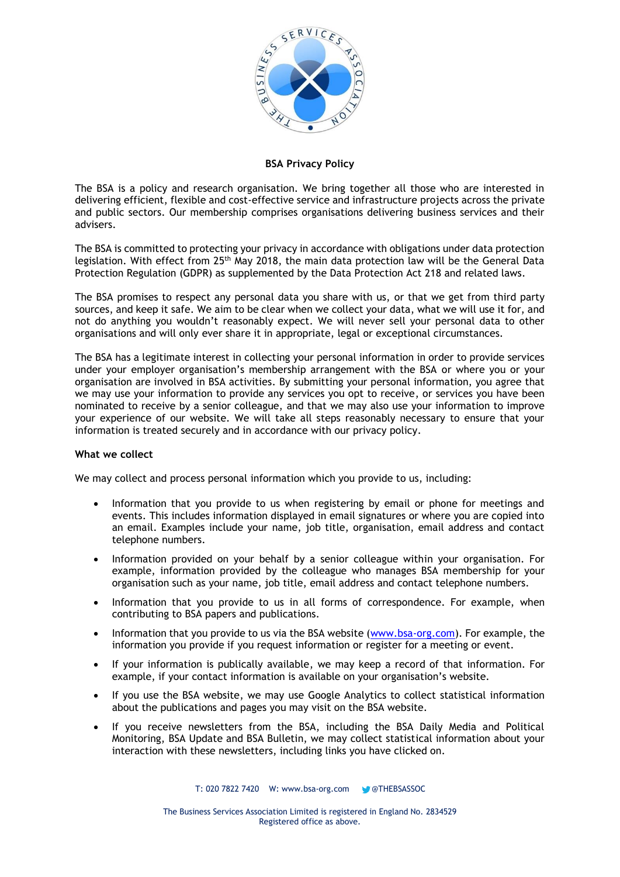

**BSA Privacy Policy**

The BSA is a policy and research organisation. We bring together all those who are interested in delivering efficient, flexible and cost-effective service and infrastructure projects across the private and public sectors. Our membership comprises organisations delivering business services and their advisers.

The BSA is committed to protecting your privacy in accordance with obligations under data protection legislation. With effect from 25<sup>th</sup> May 2018, the main data protection law will be the General Data Protection Regulation (GDPR) as supplemented by the Data Protection Act 218 and related laws.

The BSA promises to respect any personal data you share with us, or that we get from third party sources, and keep it safe. We aim to be clear when we collect your data, what we will use it for, and not do anything you wouldn't reasonably expect. We will never sell your personal data to other organisations and will only ever share it in appropriate, legal or exceptional circumstances.

The BSA has a legitimate interest in collecting your personal information in order to provide services under your employer organisation's membership arrangement with the BSA or where you or your organisation are involved in BSA activities. By submitting your personal information, you agree that we may use your information to provide any services you opt to receive, or services you have been nominated to receive by a senior colleague, and that we may also use your information to improve your experience of our website. We will take all steps reasonably necessary to ensure that your information is treated securely and in accordance with our privacy policy.

# **What we collect**

We may collect and process personal information which you provide to us, including:

- Information that you provide to us when registering by email or phone for meetings and events. This includes information displayed in email signatures or where you are copied into an email. Examples include your name, job title, organisation, email address and contact telephone numbers.
- Information provided on your behalf by a senior colleague within your organisation. For example, information provided by the colleague who manages BSA membership for your organisation such as your name, job title, email address and contact telephone numbers.
- Information that you provide to us in all forms of correspondence. For example, when contributing to BSA papers and publications.
- Information that you provide to us via the BSA website [\(www.bsa-org.com\)](http://www.bsa-org.com/). For example, the information you provide if you request information or register for a meeting or event.
- If your information is publically available, we may keep a record of that information. For example, if your contact information is available on your organisation's website.
- If you use the BSA website, we may use Google Analytics to collect statistical information about the publications and pages you may visit on the BSA website.
- If you receive newsletters from the BSA, including the BSA Daily Media and Political Monitoring, BSA Update and BSA Bulletin, we may collect statistical information about your interaction with these newsletters, including links you have clicked on.

T: 020 7822 7420 W: www.bsa-org.com @THEBSASSOC

The Business Services Association Limited is registered in England No. 2834529 Registered office as above.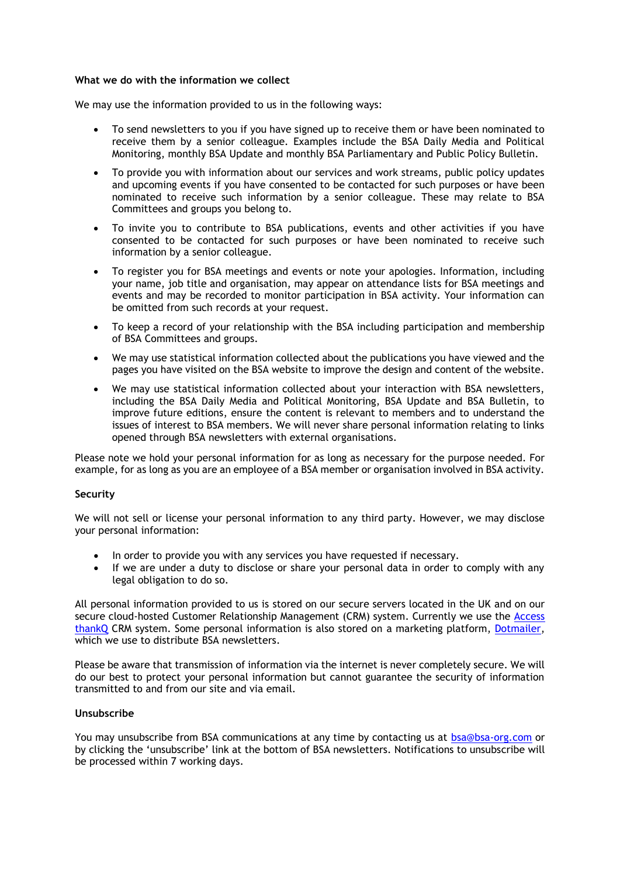#### **What we do with the information we collect**

We may use the information provided to us in the following ways:

- To send newsletters to you if you have signed up to receive them or have been nominated to receive them by a senior colleague. Examples include the BSA Daily Media and Political Monitoring, monthly BSA Update and monthly BSA Parliamentary and Public Policy Bulletin.
- To provide you with information about our services and work streams, public policy updates and upcoming events if you have consented to be contacted for such purposes or have been nominated to receive such information by a senior colleague. These may relate to BSA Committees and groups you belong to.
- To invite you to contribute to BSA publications, events and other activities if you have consented to be contacted for such purposes or have been nominated to receive such information by a senior colleague.
- To register you for BSA meetings and events or note your apologies. Information, including your name, job title and organisation, may appear on attendance lists for BSA meetings and events and may be recorded to monitor participation in BSA activity. Your information can be omitted from such records at your request.
- To keep a record of your relationship with the BSA including participation and membership of BSA Committees and groups.
- We may use statistical information collected about the publications you have viewed and the pages you have visited on the BSA website to improve the design and content of the website.
- We may use statistical information collected about your interaction with BSA newsletters, including the BSA Daily Media and Political Monitoring, BSA Update and BSA Bulletin, to improve future editions, ensure the content is relevant to members and to understand the issues of interest to BSA members. We will never share personal information relating to links opened through BSA newsletters with external organisations.

Please note we hold your personal information for as long as necessary for the purpose needed. For example, for as long as you are an employee of a BSA member or organisation involved in BSA activity.

# **Security**

We will not sell or license your personal information to any third party. However, we may disclose your personal information:

- In order to provide you with any services you have requested if necessary.
- If we are under a duty to disclose or share your personal data in order to comply with any legal obligation to do so.

All personal information provided to us is stored on our secure servers located in the UK and on our secure cloud-hosted Customer Relationship Management (CRM) system. Currently we use the [Access](https://www.theaccessgroup.com/privacy-and-legal/)  [thankQ](https://www.theaccessgroup.com/privacy-and-legal/) CRM system. Some personal information is also stored on a marketing platform, [Dotmailer,](https://www.dotmailer.com/about-us/trust-center/) which we use to distribute BSA newsletters.

Please be aware that transmission of information via the internet is never completely secure. We will do our best to protect your personal information but cannot guarantee the security of information transmitted to and from our site and via email.

# **Unsubscribe**

You mav unsubscribe from BSA communications at any time by contacting us at **bsa@bsa-org.com** or by clicking the 'unsubscribe' link at the bottom of BSA newsletters. Notifications to unsubscribe will be processed within 7 working days.